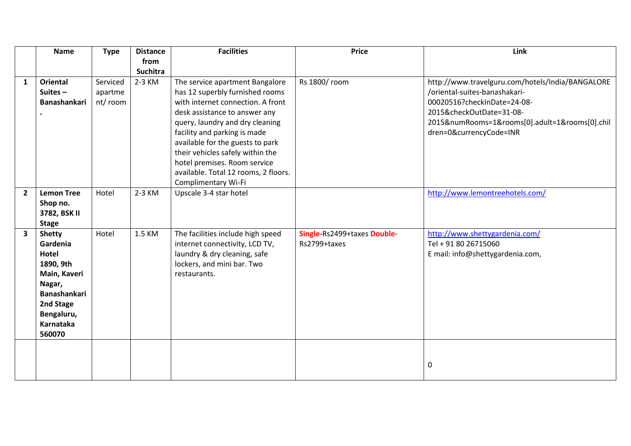|                         | <b>Name</b>         | <b>Type</b> | <b>Distance</b> | <b>Facilities</b>                    | <b>Price</b>                | Link                                             |
|-------------------------|---------------------|-------------|-----------------|--------------------------------------|-----------------------------|--------------------------------------------------|
|                         |                     |             | from            |                                      |                             |                                                  |
|                         |                     |             | <b>Suchitra</b> |                                      |                             |                                                  |
| 1                       | <b>Oriental</b>     | Serviced    | 2-3 KM          | The service apartment Bangalore      | Rs 1800/room                | http://www.travelguru.com/hotels/India/BANGALORE |
|                         | Suites $-$          | apartme     |                 | has 12 superbly furnished rooms      |                             | /oriental-suites-banashakari-                    |
|                         | <b>Banashankari</b> | nt/room     |                 | with internet connection. A front    |                             | 00020516?checkInDate=24-08-                      |
|                         |                     |             |                 | desk assistance to answer any        |                             | 2015&checkOutDate=31-08-                         |
|                         |                     |             |                 | query, laundry and dry cleaning      |                             | 2015&numRooms=1&rooms[0].adult=1&rooms[0].chil   |
|                         |                     |             |                 | facility and parking is made         |                             | dren=0&currencyCode=INR                          |
|                         |                     |             |                 | available for the guests to park     |                             |                                                  |
|                         |                     |             |                 | their vehicles safely within the     |                             |                                                  |
|                         |                     |             |                 | hotel premises. Room service         |                             |                                                  |
|                         |                     |             |                 | available. Total 12 rooms, 2 floors. |                             |                                                  |
|                         |                     |             |                 | Complimentary Wi-Fi                  |                             |                                                  |
| $\overline{2}$          | <b>Lemon Tree</b>   | Hotel       | 2-3 KM          | Upscale 3-4 star hotel               |                             | http://www.lemontreehotels.com/                  |
|                         | Shop no.            |             |                 |                                      |                             |                                                  |
|                         | 3782, BSK II        |             |                 |                                      |                             |                                                  |
|                         | <b>Stage</b>        |             |                 |                                      |                             |                                                  |
| $\overline{\mathbf{3}}$ | <b>Shetty</b>       | Hotel       | 1.5 KM          | The facilities include high speed    | Single-Rs2499+taxes Double- | http://www.shettygardenia.com/                   |
|                         | Gardenia            |             |                 | internet connectivity, LCD TV,       | Rs2799+taxes                | Tel + 91 80 26715060                             |
|                         | Hotel               |             |                 | laundry & dry cleaning, safe         |                             | E mail: info@shettygardenia.com,                 |
|                         | 1890, 9th           |             |                 | lockers, and mini bar. Two           |                             |                                                  |
|                         | Main, Kaveri        |             |                 | restaurants.                         |                             |                                                  |
|                         | Nagar,              |             |                 |                                      |                             |                                                  |
|                         | <b>Banashankari</b> |             |                 |                                      |                             |                                                  |
|                         | 2nd Stage           |             |                 |                                      |                             |                                                  |
|                         | Bengaluru,          |             |                 |                                      |                             |                                                  |
|                         | Karnataka           |             |                 |                                      |                             |                                                  |
|                         | 560070              |             |                 |                                      |                             |                                                  |
|                         |                     |             |                 |                                      |                             |                                                  |
|                         |                     |             |                 |                                      |                             |                                                  |
|                         |                     |             |                 |                                      |                             | $\pmb{0}$                                        |
|                         |                     |             |                 |                                      |                             |                                                  |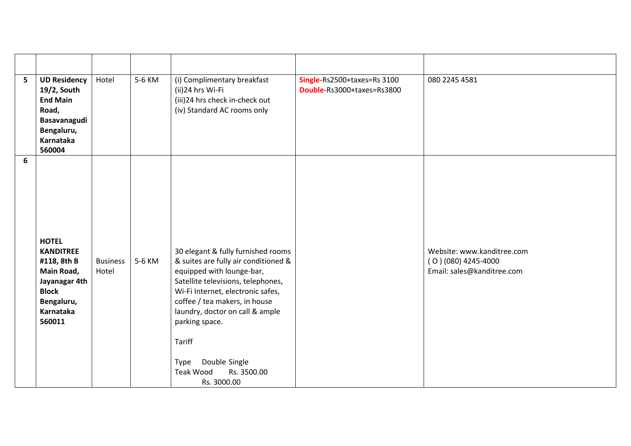| 5 <sup>1</sup> | <b>UD Residency</b><br>19/2, South<br><b>End Main</b><br>Road,<br>Basavanagudi<br>Bengaluru,<br>Karnataka<br>560004                 | Hotel                    | 5-6 KM | (i) Complimentary breakfast<br>(ii)24 hrs Wi-Fi<br>(iii)24 hrs check in-check out<br>(iv) Standard AC rooms only                                                                                                                                                                                                                                       | Single-Rs2500+taxes=Rs 3100<br>Double-Rs3000+taxes=Rs3800 | 080 2245 4581                                                                    |
|----------------|-------------------------------------------------------------------------------------------------------------------------------------|--------------------------|--------|--------------------------------------------------------------------------------------------------------------------------------------------------------------------------------------------------------------------------------------------------------------------------------------------------------------------------------------------------------|-----------------------------------------------------------|----------------------------------------------------------------------------------|
| 6              | <b>HOTEL</b><br><b>KANDITREE</b><br>#118, 8th B<br>Main Road,<br>Jayanagar 4th<br><b>Block</b><br>Bengaluru,<br>Karnataka<br>560011 | <b>Business</b><br>Hotel | 5-6 KM | 30 elegant & fully furnished rooms<br>& suites are fully air conditioned &<br>equipped with lounge-bar,<br>Satellite televisions, telephones,<br>Wi-Fi Internet, electronic safes,<br>coffee / tea makers, in house<br>laundry, doctor on call & ample<br>parking space.<br>Tariff<br>Double Single<br>Type<br>Teak Wood<br>Rs. 3500.00<br>Rs. 3000.00 |                                                           | Website: www.kanditree.com<br>$(0)(080)$ 4245-4000<br>Email: sales@kanditree.com |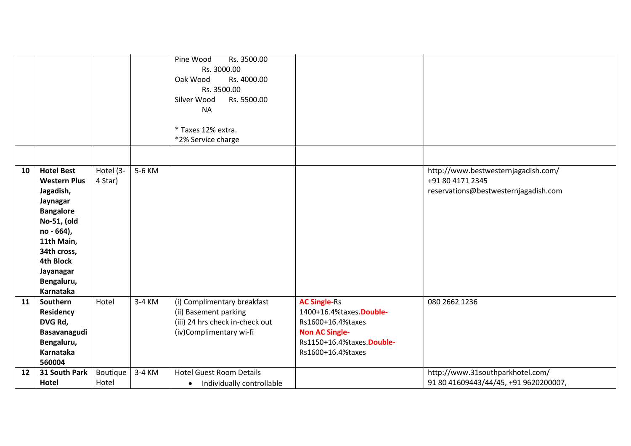|    |                                 |           |        | Pine Wood<br>Rs. 3500.00<br>Rs. 3000.00<br>Rs. 4000.00<br>Oak Wood |                            |                                       |
|----|---------------------------------|-----------|--------|--------------------------------------------------------------------|----------------------------|---------------------------------------|
|    |                                 |           |        | Rs. 3500.00                                                        |                            |                                       |
|    |                                 |           |        | Silver Wood<br>Rs. 5500.00                                         |                            |                                       |
|    |                                 |           |        | <b>NA</b>                                                          |                            |                                       |
|    |                                 |           |        |                                                                    |                            |                                       |
|    |                                 |           |        | * Taxes 12% extra.                                                 |                            |                                       |
|    |                                 |           |        | *2% Service charge                                                 |                            |                                       |
|    |                                 |           |        |                                                                    |                            |                                       |
| 10 | <b>Hotel Best</b>               | Hotel (3- | 5-6 KM |                                                                    |                            | http://www.bestwesternjagadish.com/   |
|    | <b>Western Plus</b>             | 4 Star)   |        |                                                                    |                            | +91 80 4171 2345                      |
|    | Jagadish,                       |           |        |                                                                    |                            | reservations@bestwesternjagadish.com  |
|    | Jaynagar                        |           |        |                                                                    |                            |                                       |
|    | <b>Bangalore</b>                |           |        |                                                                    |                            |                                       |
|    | No-51, (old                     |           |        |                                                                    |                            |                                       |
|    | no - 664),                      |           |        |                                                                    |                            |                                       |
|    | 11th Main,                      |           |        |                                                                    |                            |                                       |
|    | 34th cross,<br><b>4th Block</b> |           |        |                                                                    |                            |                                       |
|    | Jayanagar                       |           |        |                                                                    |                            |                                       |
|    | Bengaluru,                      |           |        |                                                                    |                            |                                       |
|    | <b>Karnataka</b>                |           |        |                                                                    |                            |                                       |
| 11 | Southern                        | Hotel     | 3-4 KM | (i) Complimentary breakfast                                        | <b>AC Single-Rs</b>        | 080 2662 1236                         |
|    | Residency                       |           |        | (ii) Basement parking                                              | 1400+16.4%taxes.Double-    |                                       |
|    | DVG Rd,                         |           |        | (iii) 24 hrs check in-check out                                    | Rs1600+16.4%taxes          |                                       |
|    | Basavanagudi                    |           |        | (iv)Complimentary wi-fi                                            | <b>Non AC Single-</b>      |                                       |
|    | Bengaluru,                      |           |        |                                                                    | Rs1150+16.4%taxes. Double- |                                       |
|    | Karnataka                       |           |        |                                                                    | Rs1600+16.4%taxes          |                                       |
|    | 560004                          |           |        |                                                                    |                            |                                       |
| 12 | 31 South Park                   | Boutique  | 3-4 KM | <b>Hotel Guest Room Details</b>                                    |                            | http://www.31southparkhotel.com/      |
|    | Hotel                           | Hotel     |        | Individually controllable<br>$\bullet$                             |                            | 91 80 41609443/44/45, +91 9620200007, |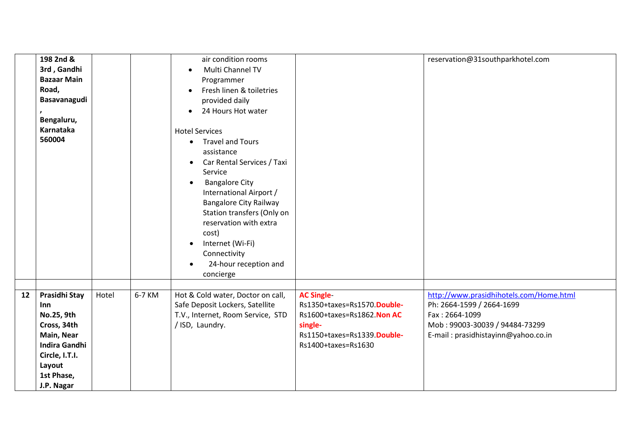|    | 198 2nd &<br>3rd, Gandhi<br><b>Bazaar Main</b><br>Road,<br>Basavanagudi<br>Bengaluru,<br>Karnataka<br>560004                                    |       |        | air condition rooms<br>Multi Channel TV<br>$\bullet$<br>Programmer<br>Fresh linen & toiletries<br>$\bullet$<br>provided daily<br>24 Hours Hot water<br><b>Hotel Services</b><br><b>Travel and Tours</b><br>$\bullet$<br>assistance<br>Car Rental Services / Taxi<br>$\bullet$<br>Service<br><b>Bangalore City</b><br>$\bullet$<br>International Airport /<br><b>Bangalore City Railway</b><br>Station transfers (Only on<br>reservation with extra<br>cost)<br>Internet (Wi-Fi)<br>$\bullet$<br>Connectivity<br>24-hour reception and<br>$\bullet$<br>concierge |                                                                                                                                                  | reservation@31southparkhotel.com                                                                                                                                |
|----|-------------------------------------------------------------------------------------------------------------------------------------------------|-------|--------|-----------------------------------------------------------------------------------------------------------------------------------------------------------------------------------------------------------------------------------------------------------------------------------------------------------------------------------------------------------------------------------------------------------------------------------------------------------------------------------------------------------------------------------------------------------------|--------------------------------------------------------------------------------------------------------------------------------------------------|-----------------------------------------------------------------------------------------------------------------------------------------------------------------|
| 12 | Prasidhi Stay<br>Inn<br>No.25, 9th<br>Cross, 34th<br>Main, Near<br><b>Indira Gandhi</b><br>Circle, I.T.I.<br>Layout<br>1st Phase,<br>J.P. Nagar | Hotel | 6-7 KM | Hot & Cold water, Doctor on call,<br>Safe Deposit Lockers, Satellite<br>T.V., Internet, Room Service, STD<br>/ ISD, Laundry.                                                                                                                                                                                                                                                                                                                                                                                                                                    | <b>AC Single-</b><br>Rs1350+taxes=Rs1570.Double-<br>Rs1600+taxes=Rs1862. Non AC<br>single-<br>Rs1150+taxes=Rs1339.Double-<br>Rs1400+taxes=Rs1630 | http://www.prasidhihotels.com/Home.html<br>Ph: 2664-1599 / 2664-1699<br>Fax: 2664-1099<br>Mob: 99003-30039 / 94484-73299<br>E-mail: prasidhistayinn@yahoo.co.in |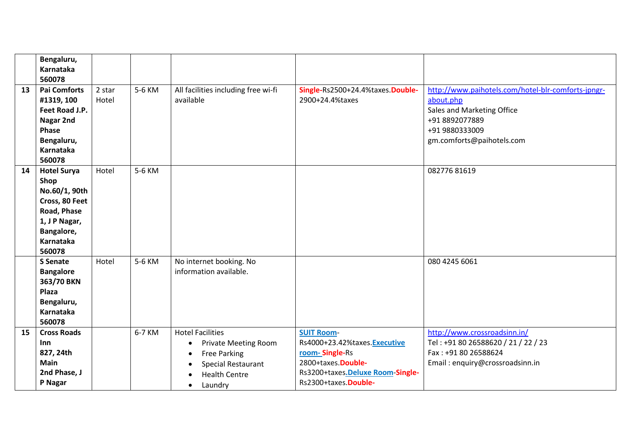|    | Bengaluru,<br>Karnataka                                                                                                            |                 |        |                                                                                                                                                                 |                                                                                                                                                       |                                                                                                                                                                |
|----|------------------------------------------------------------------------------------------------------------------------------------|-----------------|--------|-----------------------------------------------------------------------------------------------------------------------------------------------------------------|-------------------------------------------------------------------------------------------------------------------------------------------------------|----------------------------------------------------------------------------------------------------------------------------------------------------------------|
|    | 560078                                                                                                                             |                 |        |                                                                                                                                                                 |                                                                                                                                                       |                                                                                                                                                                |
| 13 | <b>Pai Comforts</b><br>#1319, 100<br>Feet Road J.P.<br>Nagar 2nd<br>Phase<br>Bengaluru,<br>Karnataka<br>560078                     | 2 star<br>Hotel | 5-6 KM | All facilities including free wi-fi<br>available                                                                                                                | Single-Rs2500+24.4%taxes.Double-<br>2900+24.4%taxes                                                                                                   | http://www.paihotels.com/hotel-blr-comforts-jpngr-<br>about.php<br>Sales and Marketing Office<br>+91 8892077889<br>+91 9880333009<br>gm.comforts@paihotels.com |
| 14 | <b>Hotel Surya</b><br>Shop<br>No.60/1, 90th<br>Cross, 80 Feet<br>Road, Phase<br>1, J P Nagar,<br>Bangalore,<br>Karnataka<br>560078 | Hotel           | 5-6 KM |                                                                                                                                                                 |                                                                                                                                                       | 08277681619                                                                                                                                                    |
|    | <b>S</b> Senate<br><b>Bangalore</b><br>363/70 BKN<br>Plaza<br>Bengaluru,<br>Karnataka<br>560078                                    | Hotel           | 5-6 KM | No internet booking. No<br>information available.                                                                                                               |                                                                                                                                                       | 080 4245 6061                                                                                                                                                  |
| 15 | <b>Cross Roads</b><br>Inn<br>827, 24th<br><b>Main</b><br>2nd Phase, J<br>P Nagar                                                   |                 | 6-7 KM | <b>Hotel Facilities</b><br><b>Private Meeting Room</b><br>٠<br><b>Free Parking</b><br><b>Special Restaurant</b><br><b>Health Centre</b><br>Laundry<br>$\bullet$ | <b>SUIT Room-</b><br>Rs4000+23.42%taxes.Executive<br>room-Single-Rs<br>2800+taxes.Double-<br>Rs3200+taxes.Deluxe Room-Single-<br>Rs2300+taxes.Double- | http://www.crossroadsinn.in/<br>Tel: +91 80 26588620 / 21 / 22 / 23<br>Fax: +91 80 26588624<br>Email: enquiry@crossroadsinn.in                                 |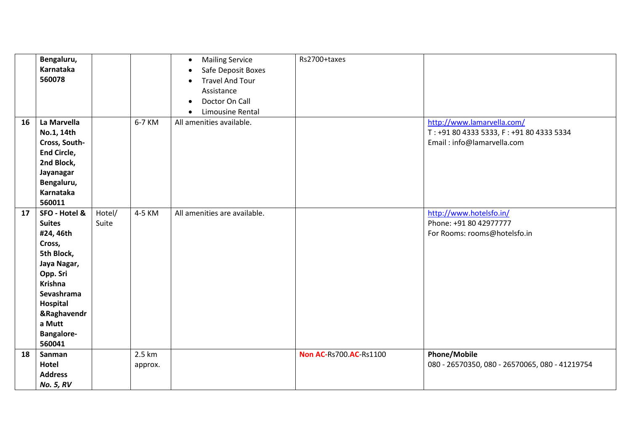|    | Bengaluru,<br>Karnataka<br>560078                                                                                                                                                                            |                 |                   | <b>Mailing Service</b><br>$\bullet$<br>Safe Deposit Boxes<br><b>Travel And Tour</b><br>Assistance<br>Doctor On Call | Rs2700+taxes                  |                                                                                                      |
|----|--------------------------------------------------------------------------------------------------------------------------------------------------------------------------------------------------------------|-----------------|-------------------|---------------------------------------------------------------------------------------------------------------------|-------------------------------|------------------------------------------------------------------------------------------------------|
|    |                                                                                                                                                                                                              |                 |                   | Limousine Rental                                                                                                    |                               |                                                                                                      |
| 16 | La Marvella<br>No.1, 14th<br>Cross, South-<br><b>End Circle,</b><br>2nd Block,<br>Jayanagar<br>Bengaluru,<br>Karnataka                                                                                       |                 | 6-7 KM            | All amenities available.                                                                                            |                               | http://www.lamarvella.com/<br>T: +91 80 4333 5333, F: +91 80 4333 5334<br>Email: info@lamarvella.com |
| 17 | 560011<br>SFO - Hotel &<br><b>Suites</b><br>#24, 46th<br>Cross,<br>5th Block,<br>Jaya Nagar,<br>Opp. Sri<br><b>Krishna</b><br>Sevashrama<br>Hospital<br>&Raghavendr<br>a Mutt<br><b>Bangalore-</b><br>560041 | Hotel/<br>Suite | 4-5 KM            | All amenities are available.                                                                                        |                               | http://www.hotelsfo.in/<br>Phone: +91 80 42977777<br>For Rooms: rooms@hotelsfo.in                    |
| 18 | Sanman<br>Hotel<br><b>Address</b><br><b>No. 5, RV</b>                                                                                                                                                        |                 | 2.5 km<br>approx. |                                                                                                                     | <b>Non AC-Rs700.AC-Rs1100</b> | <b>Phone/Mobile</b><br>080 - 26570350, 080 - 26570065, 080 - 41219754                                |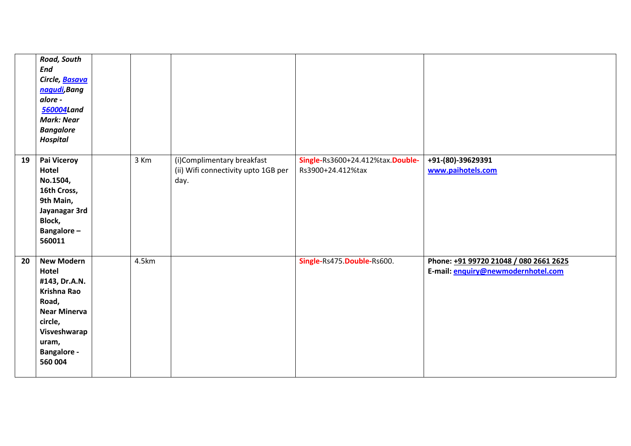|    | Road, South<br><b>End</b><br>Circle, Basava<br>nagudi, Bang<br>alore -<br>560004Land<br><b>Mark: Near</b><br><b>Bangalore</b><br><b>Hospital</b>                       |       |                                                                           |                                                       |                                                                              |
|----|------------------------------------------------------------------------------------------------------------------------------------------------------------------------|-------|---------------------------------------------------------------------------|-------------------------------------------------------|------------------------------------------------------------------------------|
| 19 | Pai Viceroy<br>Hotel<br>No.1504,<br>16th Cross,<br>9th Main,<br>Jayanagar 3rd<br>Block,<br>Bangalore-<br>560011                                                        | 3 Km  | (i)Complimentary breakfast<br>(ii) Wifi connectivity upto 1GB per<br>day. | Single-Rs3600+24.412%tax.Double-<br>Rs3900+24.412%tax | +91-(80)-39629391<br>www.paihotels.com                                       |
| 20 | <b>New Modern</b><br>Hotel<br>#143, Dr.A.N.<br><b>Krishna Rao</b><br>Road,<br><b>Near Minerva</b><br>circle,<br>Visveshwarap<br>uram,<br><b>Bangalore -</b><br>560 004 | 4.5km |                                                                           | Single-Rs475. Double-Rs600.                           | Phone: +91 99720 21048 / 080 2661 2625<br>E-mail: enquiry@newmodernhotel.com |